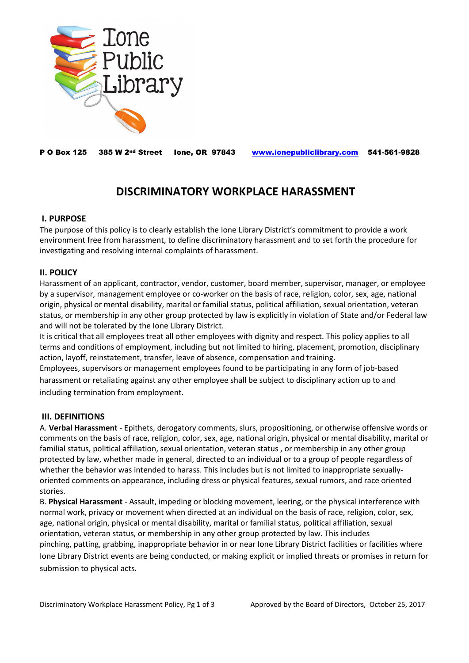

P O Box 125 385 W 2nd Street Ione, OR 97843 [www.ionepubliclibrary.com](http://www.ionepubliclibrary.com/) 541-561-9828

# **DISCRIMINATORY WORKPLACE HARASSMENT**

# **I. PURPOSE**

The purpose of this policy is to clearly establish the Ione Library District's commitment to provide a work environment free from harassment, to define discriminatory harassment and to set forth the procedure for investigating and resolving internal complaints of harassment.

# **II. POLICY**

Harassment of an applicant, contractor, vendor, customer, board member, supervisor, manager, or employee by a supervisor, management employee or co‐worker on the basis of race, religion, color, sex, age, national origin, physical or mental disability, marital or familial status, political affiliation, sexual orientation, veteran status, or membership in any other group protected by law is explicitly in violation of State and/or Federal law and will not be tolerated by the Ione Library District.

It is critical that all employees treat all other employees with dignity and respect. This policy applies to all terms and conditions of employment, including but not limited to hiring, placement, promotion, disciplinary action, layoff, reinstatement, transfer, leave of absence, compensation and training.

Employees, supervisors or management employees found to be participating in any form of job-based harassment or retaliating against any other employee shall be subject to disciplinary action up to and including termination from employment.

# **III. DEFINITIONS**

A. **Verbal Harassment** ‐ Epithets, derogatory comments, slurs, propositioning, or otherwise offensive words or comments on the basis of race, religion, color, sex, age, national origin, physical or mental disability, marital or familial status, political affiliation, sexual orientation, veteran status , or membership in any other group protected by law, whether made in general, directed to an individual or to a group of people regardless of whether the behavior was intended to harass. This includes but is not limited to inappropriate sexuallyoriented comments on appearance, including dress or physical features, sexual rumors, and race oriented stories.

B. **Physical Harassment** ‐ Assault, impeding or blocking movement, leering, or the physical interference with normal work, privacy or movement when directed at an individual on the basis of race, religion, color, sex, age, national origin, physical or mental disability, marital or familial status, political affiliation, sexual orientation, veteran status, or membership in any other group protected by law. This includes pinching, patting, grabbing, inappropriate behavior in or near Ione Library District facilities or facilities where Ione Library District events are being conducted, or making explicit or implied threats or promises in return for submission to physical acts.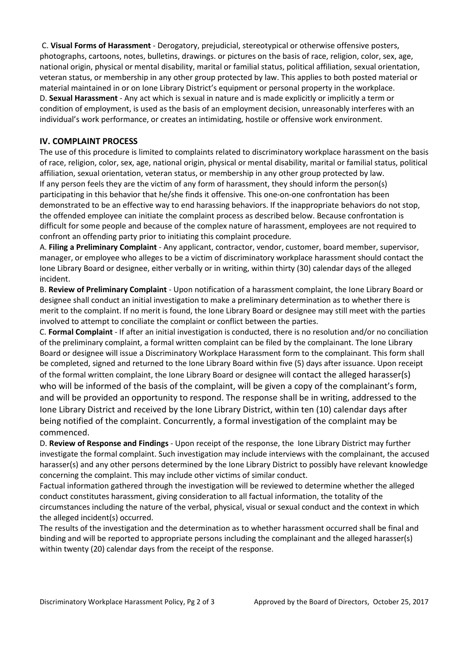C. **Visual Forms of Harassment** ‐ Derogatory, prejudicial, stereotypical or otherwise offensive posters, photographs, cartoons, notes, bulletins, drawings. or pictures on the basis of race, religion, color, sex, age, national origin, physical or mental disability, marital or familial status, political affiliation, sexual orientation, veteran status, or membership in any other group protected by law. This applies to both posted material or material maintained in or on Ione Library District's equipment or personal property in the workplace. D. **Sexual Harassment** ‐ Any act which is sexual in nature and is made explicitly or implicitly a term or condition of employment, is used as the basis of an employment decision, unreasonably interferes with an individual's work performance, or creates an intimidating, hostile or offensive work environment.

## **IV. COMPLAINT PROCESS**

The use of this procedure is limited to complaints related to discriminatory workplace harassment on the basis of race, religion, color, sex, age, national origin, physical or mental disability, marital or familial status, political affiliation, sexual orientation, veteran status, or membership in any other group protected by law. If any person feels they are the victim of any form of harassment, they should inform the person(s) participating in this behavior that he/she finds it offensive. This one-on-one confrontation has been demonstrated to be an effective way to end harassing behaviors. If the inappropriate behaviors do not stop, the offended employee can initiate the complaint process as described below. Because confrontation is difficult for some people and because of the complex nature of harassment, employees are not required to confront an offending party prior to initiating this complaint procedure*.* 

A. **Filing a Preliminary Complaint** ‐ Any applicant, contractor, vendor, customer, board member, supervisor, manager, or employee who alleges to be a victim of discriminatory workplace harassment should contact the Ione Library Board or designee, either verbally or in writing, within thirty (30) calendar days of the alleged incident.

B. **Review of Preliminary Complaint** ‐ Upon notification of a harassment complaint, the Ione Library Board or designee shall conduct an initial investigation to make a preliminary determination as to whether there is merit to the complaint. If no merit is found, the Ione Library Board or designee may still meet with the parties involved to attempt to conciliate the complaint or conflict between the parties.

C. **Formal Complaint** ‐ If after an initial investigation is conducted, there is no resolution and/or no conciliation of the preliminary complaint, a formal written complaint can be filed by the complainant. The Ione Library Board or designee will issue a Discriminatory Workplace Harassment form to the complainant. This form shall be completed, signed and returned to the Ione Library Board within five (5) days after issuance. Upon receipt of the formal written complaint, the Ione Library Board or designee will contact the alleged harasser(s) who will be informed of the basis of the complaint, will be given a copy of the complainant's form, and will be provided an opportunity to respond. The response shall be in writing, addressed to the Ione Library District and received by the Ione Library District, within ten (10) calendar days after being notified of the complaint. Concurrently, a formal investigation of the complaint may be commenced.

D. **Review of Response and Findings** ‐ Upon receipt of the response, the Ione Library District may further investigate the formal complaint. Such investigation may include interviews with the complainant, the accused harasser(s) and any other persons determined by the Ione Library District to possibly have relevant knowledge concerning the complaint. This may include other victims of similar conduct.

Factual information gathered through the investigation will be reviewed to determine whether the alleged conduct constitutes harassment, giving consideration to all factual information, the totality of the circumstances including the nature of the verbal, physical, visual or sexual conduct and the context in which the alleged incident(s) occurred.

The results of the investigation and the determination as to whether harassment occurred shall be final and binding and will be reported to appropriate persons including the complainant and the alleged harasser(s) within twenty (20) calendar days from the receipt of the response.